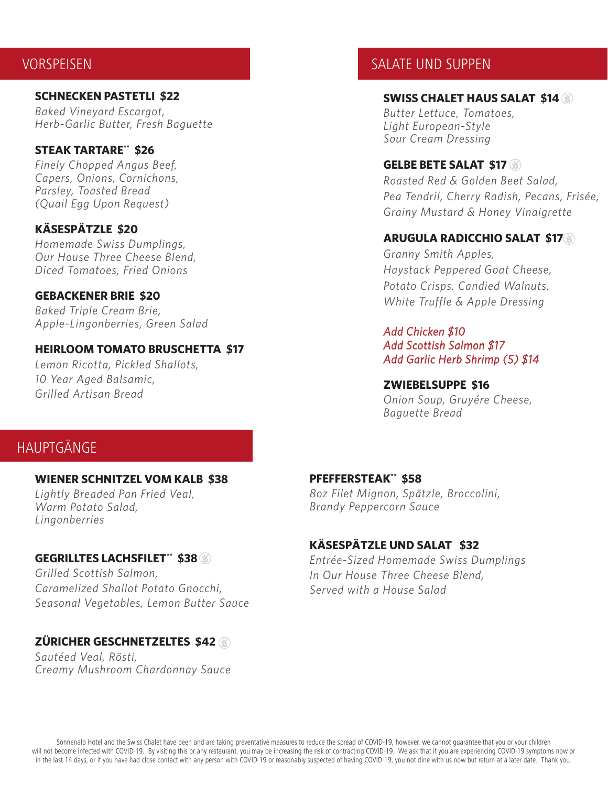# VORSPEISEN

**SCHNECKEN PASTETLI \$22** *Baked Vineyard Escargot, Herb-Garlic Butter, Fresh Baguette*

#### **STEAK TARTARE\*\* \$26**

*Finely Chopped Angus Beef, Capers, Onions, Cornichons, Parsley, Toasted Bread (Quail Egg Upon Request)*

#### **KÄSESPÄTZLE \$20**

*Homemade Swiss Dumplings, Our House Three Cheese Blend, Diced Tomatoes, Fried Onions*

#### **GEBACKENER BRIE \$20**

*Baked Triple Cream Brie, Apple-Lingonberries, Green Salad*

#### **HEIRLOOM TOMATO BRUSCHETTA \$17**

*Lemon Ricotta, Pickled Shallots, 10 Year Aged Balsamic, Grilled Artisan Bread*

## SALATE UND SUPPEN

#### **SWISS CHALET HAUS SALAT \$14**

*Butter Lettuce, Tomatoes, Light European-Style Sour Cream Dressing*

#### **GELBE BETE SALAT \$17**

*Roasted Red & Golden Beet Salad, Pea Tendril, Cherry Radish, Pecans, Frisée, Grainy Mustard & Honey Vinaigrette*

#### **ARUGULA RADICCHIO SALAT \$17**

*Granny Smith Apples, Haystack Peppered Goat Cheese, Potato Crisps, Candied Walnuts, White Truffle & Apple Dressing*

#### *Add Chicken \$10 Add Scottish Salmon \$17 Add Garlic Herb Shrimp (5) \$14*

#### **ZWIEBELSUPPE \$16**

*Onion Soup, Gruyére Cheese, Baguette Bread*

# HAUPTGÄNGE

#### **WIENER SCHNITZEL VOM KALB \$38**

*Lightly Breaded Pan Fried Veal, Warm Potato Salad, Lingonberries*

#### **GEGRILLTES LACHSFILET\*\*** \$38

*Grilled Scottish Salmon, Caramelized Shallot Potato Gnocchi, Seasonal Vegetables, Lemon Butter Sauce*

#### **ZÜRICHER GESCHNETZELTES \$42**

*Sautéed Veal, Rösti, Creamy Mushroom Chardonnay Sauce* 

#### **PFEFFERSTEAK\*\* \$58**

*8oz Filet Mignon, Spätzle, Broccolini, Brandy Peppercorn Sauce* 

## **KÄSESPÄTZLE UND SALAT \$32**

*Entrée-Sized Homemade Swiss Dumplings In Our House Three Cheese Blend, Served with a House Salad*